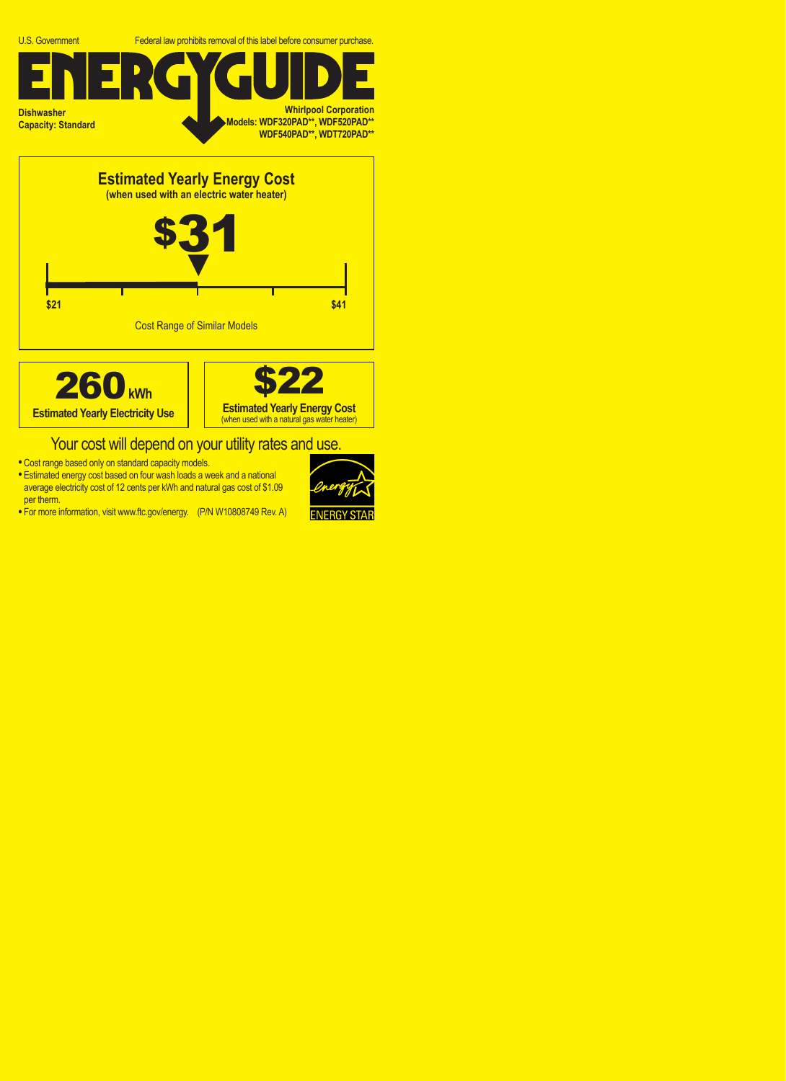





## Your cost will depend on your utility rates and use.

- **•** Cost range based only on standard capacity models.
- **•** Estimated energy cost based on four wash loads a week and a national average electricity cost of 12 cents per kWh and natural gas cost of \$1.09 per therm.
- **•** For more information, visit www.ftc.gov/energy. (P/N W10808749 Rev. A)